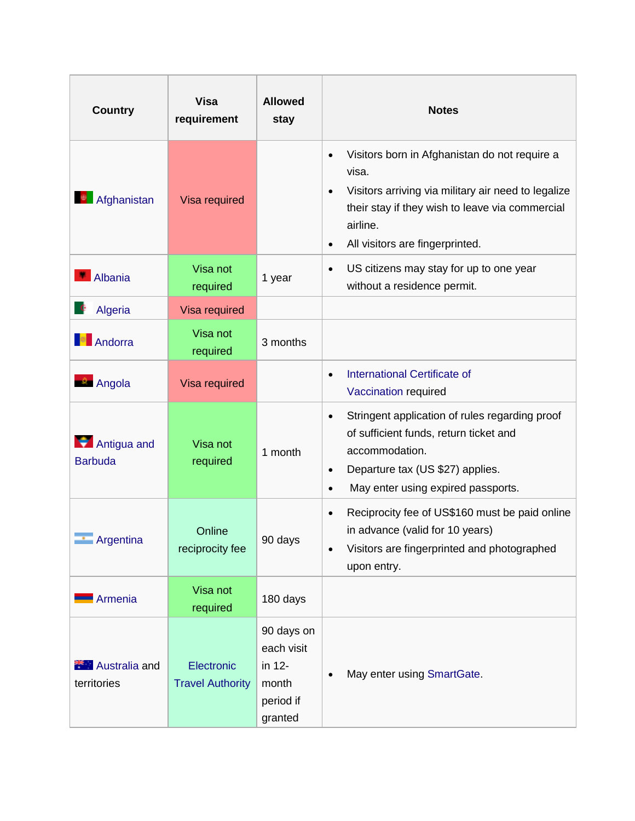| <b>Country</b>                      | <b>Visa</b><br>requirement            | <b>Allowed</b><br>stay                                              | <b>Notes</b>                                                                                                                                                                                                                                           |
|-------------------------------------|---------------------------------------|---------------------------------------------------------------------|--------------------------------------------------------------------------------------------------------------------------------------------------------------------------------------------------------------------------------------------------------|
| Afghanistan                         | Visa required                         |                                                                     | Visitors born in Afghanistan do not require a<br>$\bullet$<br>visa.<br>Visitors arriving via military air need to legalize<br>$\bullet$<br>their stay if they wish to leave via commercial<br>airline.<br>All visitors are fingerprinted.<br>$\bullet$ |
| Albania                             | Visa not<br>required                  | 1 year                                                              | US citizens may stay for up to one year<br>$\bullet$<br>without a residence permit.                                                                                                                                                                    |
| Algeria                             | Visa required                         |                                                                     |                                                                                                                                                                                                                                                        |
| Andorra                             | Visa not<br>required                  | 3 months                                                            |                                                                                                                                                                                                                                                        |
| <b>Angola</b>                       | Visa required                         |                                                                     | <b>International Certificate of</b><br>$\bullet$<br>Vaccination required                                                                                                                                                                               |
| Antigua and<br><b>Barbuda</b>       | Visa not<br>required                  | 1 month                                                             | Stringent application of rules regarding proof<br>$\bullet$<br>of sufficient funds, return ticket and<br>accommodation.<br>Departure tax (US \$27) applies.<br>$\bullet$<br>May enter using expired passports.<br>$\bullet$                            |
| <b>Argentina</b>                    | Online<br>reciprocity fee             | 90 days                                                             | Reciprocity fee of US\$160 must be paid online<br>$\bullet$<br>in advance (valid for 10 years)<br>Visitors are fingerprinted and photographed<br>$\bullet$<br>upon entry.                                                                              |
| Armenia                             | Visa not<br>required                  | 180 days                                                            |                                                                                                                                                                                                                                                        |
| <b>Australia</b> and<br>territories | Electronic<br><b>Travel Authority</b> | 90 days on<br>each visit<br>in 12-<br>month<br>period if<br>granted | May enter using SmartGate.                                                                                                                                                                                                                             |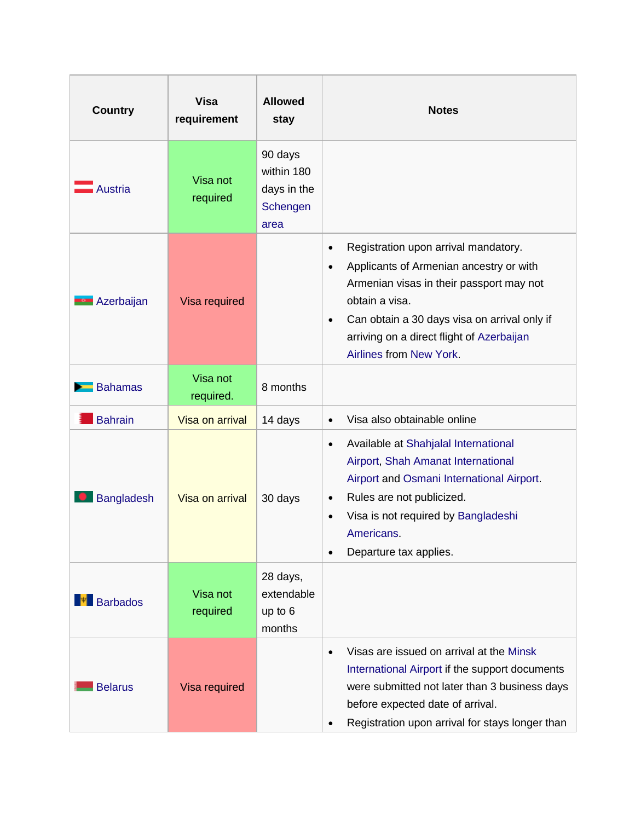| <b>Country</b>    | <b>Visa</b><br>requirement | <b>Allowed</b><br>stay                                   | <b>Notes</b>                                                                                                                                                                                                                                                                                                 |
|-------------------|----------------------------|----------------------------------------------------------|--------------------------------------------------------------------------------------------------------------------------------------------------------------------------------------------------------------------------------------------------------------------------------------------------------------|
| Austria           | Visa not<br>required       | 90 days<br>within 180<br>days in the<br>Schengen<br>area |                                                                                                                                                                                                                                                                                                              |
| <b>Azerbaijan</b> | Visa required              |                                                          | Registration upon arrival mandatory.<br>$\bullet$<br>Applicants of Armenian ancestry or with<br>$\bullet$<br>Armenian visas in their passport may not<br>obtain a visa.<br>Can obtain a 30 days visa on arrival only if<br>$\bullet$<br>arriving on a direct flight of Azerbaijan<br>Airlines from New York. |
| <b>Bahamas</b>    | Visa not<br>required.      | 8 months                                                 |                                                                                                                                                                                                                                                                                                              |
| <b>Bahrain</b>    | Visa on arrival            | 14 days                                                  | Visa also obtainable online<br>$\bullet$                                                                                                                                                                                                                                                                     |
| <b>Bangladesh</b> | Visa on arrival            | 30 days                                                  | Available at Shahjalal International<br>$\bullet$<br>Airport, Shah Amanat International<br>Airport and Osmani International Airport.<br>Rules are not publicized.<br>$\bullet$<br>Visa is not required by Bangladeshi<br>Americans.<br>Departure tax applies.                                                |
| Barbados          | Visa not<br>required       | 28 days,<br>extendable<br>up to 6<br>months              |                                                                                                                                                                                                                                                                                                              |
| <b>Belarus</b>    | Visa required              |                                                          | Visas are issued on arrival at the Minsk<br>$\bullet$<br>International Airport if the support documents<br>were submitted not later than 3 business days<br>before expected date of arrival.<br>Registration upon arrival for stays longer than                                                              |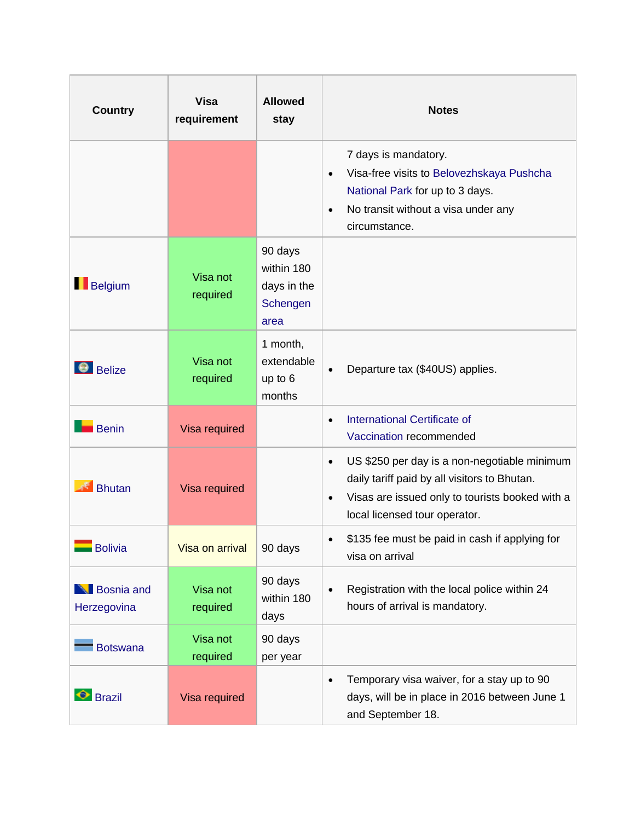| <b>Country</b>                   | <b>Visa</b><br>requirement | <b>Allowed</b><br>stay                                   | <b>Notes</b>                                                                                                                                                                                               |
|----------------------------------|----------------------------|----------------------------------------------------------|------------------------------------------------------------------------------------------------------------------------------------------------------------------------------------------------------------|
|                                  |                            |                                                          | 7 days is mandatory.<br>Visa-free visits to Belovezhskaya Pushcha<br>$\bullet$<br>National Park for up to 3 days.<br>No transit without a visa under any<br>$\bullet$<br>circumstance.                     |
| Belgium                          | Visa not<br>required       | 90 days<br>within 180<br>days in the<br>Schengen<br>area |                                                                                                                                                                                                            |
| $\Theta$ Belize                  | Visa not<br>required       | 1 month,<br>extendable<br>up to 6<br>months              | Departure tax (\$40US) applies.<br>$\bullet$                                                                                                                                                               |
| <b>Benin</b>                     | Visa required              |                                                          | <b>International Certificate of</b><br>$\bullet$<br>Vaccination recommended                                                                                                                                |
| <b>Bhutan</b>                    | Visa required              |                                                          | US \$250 per day is a non-negotiable minimum<br>$\bullet$<br>daily tariff paid by all visitors to Bhutan.<br>Visas are issued only to tourists booked with a<br>$\bullet$<br>local licensed tour operator. |
| <b>Bolivia</b>                   | Visa on arrival            | 90 days                                                  | \$135 fee must be paid in cash if applying for<br>visa on arrival                                                                                                                                          |
| <b>Bosnia</b> and<br>Herzegovina | Visa not<br>required       | 90 days<br>within 180<br>days                            | Registration with the local police within 24<br>$\bullet$<br>hours of arrival is mandatory.                                                                                                                |
| <b>Botswana</b>                  | Visa not<br>required       | 90 days<br>per year                                      |                                                                                                                                                                                                            |
| <b>Brazil</b>                    | Visa required              |                                                          | Temporary visa waiver, for a stay up to 90<br>$\bullet$<br>days, will be in place in 2016 between June 1<br>and September 18.                                                                              |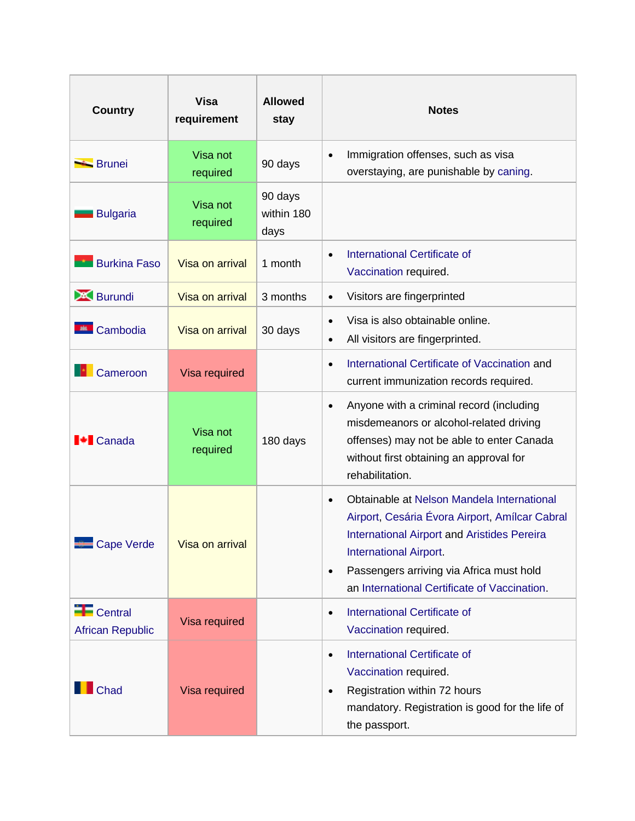| <b>Country</b>                         | <b>Visa</b><br>requirement | <b>Allowed</b><br>stay        | <b>Notes</b>                                                                                                                                                                                                                                                                                              |
|----------------------------------------|----------------------------|-------------------------------|-----------------------------------------------------------------------------------------------------------------------------------------------------------------------------------------------------------------------------------------------------------------------------------------------------------|
| <b>Brunei</b>                          | Visa not<br>required       | 90 days                       | Immigration offenses, such as visa<br>$\bullet$<br>overstaying, are punishable by caning.                                                                                                                                                                                                                 |
| <b>Bulgaria</b>                        | Visa not<br>required       | 90 days<br>within 180<br>days |                                                                                                                                                                                                                                                                                                           |
| <b>Burkina Faso</b>                    | Visa on arrival            | 1 month                       | <b>International Certificate of</b><br>$\bullet$<br>Vaccination required.                                                                                                                                                                                                                                 |
| <b>A Burundi</b>                       | Visa on arrival            | 3 months                      | Visitors are fingerprinted<br>$\bullet$                                                                                                                                                                                                                                                                   |
| <b>EL</b> Cambodia                     | Visa on arrival            | 30 days                       | Visa is also obtainable online.<br>$\bullet$<br>All visitors are fingerprinted.<br>$\bullet$                                                                                                                                                                                                              |
| Cameroon                               | Visa required              |                               | International Certificate of Vaccination and<br>$\bullet$<br>current immunization records required.                                                                                                                                                                                                       |
| <b>I<sup>↓</sup></b> Canada            | Visa not<br>required       | 180 days                      | Anyone with a criminal record (including<br>$\bullet$<br>misdemeanors or alcohol-related driving<br>offenses) may not be able to enter Canada<br>without first obtaining an approval for<br>rehabilitation.                                                                                               |
| Cape Verde                             | Visa on arrival            |                               | Obtainable at Nelson Mandela International<br>$\bullet$<br>Airport, Cesária Évora Airport, Amílcar Cabral<br><b>International Airport and Aristides Pereira</b><br><b>International Airport.</b><br>Passengers arriving via Africa must hold<br>$\bullet$<br>an International Certificate of Vaccination. |
| $F$ Central<br><b>African Republic</b> | Visa required              |                               | <b>International Certificate of</b><br>$\bullet$<br>Vaccination required.                                                                                                                                                                                                                                 |
| Chad                                   | Visa required              |                               | International Certificate of<br>$\bullet$<br>Vaccination required.<br>Registration within 72 hours<br>$\bullet$<br>mandatory. Registration is good for the life of<br>the passport.                                                                                                                       |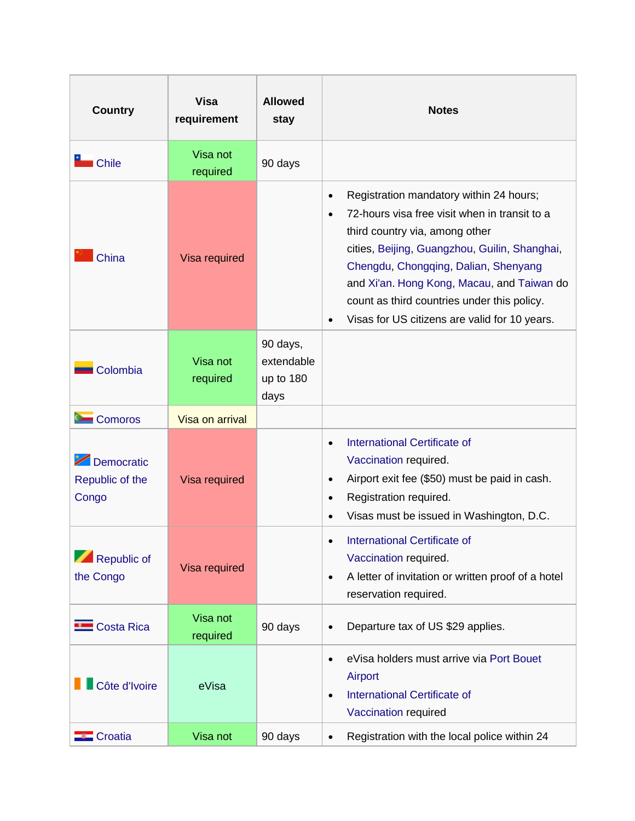| <b>Country</b>                         | <b>Visa</b><br>requirement | <b>Allowed</b><br>stay                      | <b>Notes</b>                                                                                                                                                                                                                                                                                                                                                                                             |
|----------------------------------------|----------------------------|---------------------------------------------|----------------------------------------------------------------------------------------------------------------------------------------------------------------------------------------------------------------------------------------------------------------------------------------------------------------------------------------------------------------------------------------------------------|
| Chile                                  | Visa not<br>required       | 90 days                                     |                                                                                                                                                                                                                                                                                                                                                                                                          |
| China                                  | Visa required              |                                             | Registration mandatory within 24 hours;<br>$\bullet$<br>72-hours visa free visit when in transit to a<br>$\bullet$<br>third country via, among other<br>cities, Beijing, Guangzhou, Guilin, Shanghai,<br>Chengdu, Chongqing, Dalian, Shenyang<br>and Xi'an. Hong Kong, Macau, and Taiwan do<br>count as third countries under this policy.<br>Visas for US citizens are valid for 10 years.<br>$\bullet$ |
| Colombia                               | Visa not<br>required       | 90 days,<br>extendable<br>up to 180<br>days |                                                                                                                                                                                                                                                                                                                                                                                                          |
| <b>Comoros</b>                         | Visa on arrival            |                                             |                                                                                                                                                                                                                                                                                                                                                                                                          |
| Democratic<br>Republic of the<br>Congo | Visa required              |                                             | International Certificate of<br>$\bullet$<br>Vaccination required.<br>Airport exit fee (\$50) must be paid in cash.<br>$\bullet$<br>Registration required.<br>$\bullet$<br>Visas must be issued in Washington, D.C.                                                                                                                                                                                      |
| Republic of<br>the Congo               | <b>Visa required</b>       |                                             | International Certificate of<br>Vaccination required.<br>A letter of invitation or written proof of a hotel<br>$\bullet$<br>reservation required.                                                                                                                                                                                                                                                        |
| <b>Exercise Costa Rica</b>             | Visa not<br>required       | 90 days                                     | Departure tax of US \$29 applies.<br>$\bullet$                                                                                                                                                                                                                                                                                                                                                           |
| Côte d'Ivoire                          | eVisa                      |                                             | eVisa holders must arrive via Port Bouet<br>$\bullet$<br>Airport<br><b>International Certificate of</b><br>$\bullet$<br>Vaccination required                                                                                                                                                                                                                                                             |
| $\blacksquare$ Croatia                 | Visa not                   | 90 days                                     | Registration with the local police within 24<br>$\bullet$                                                                                                                                                                                                                                                                                                                                                |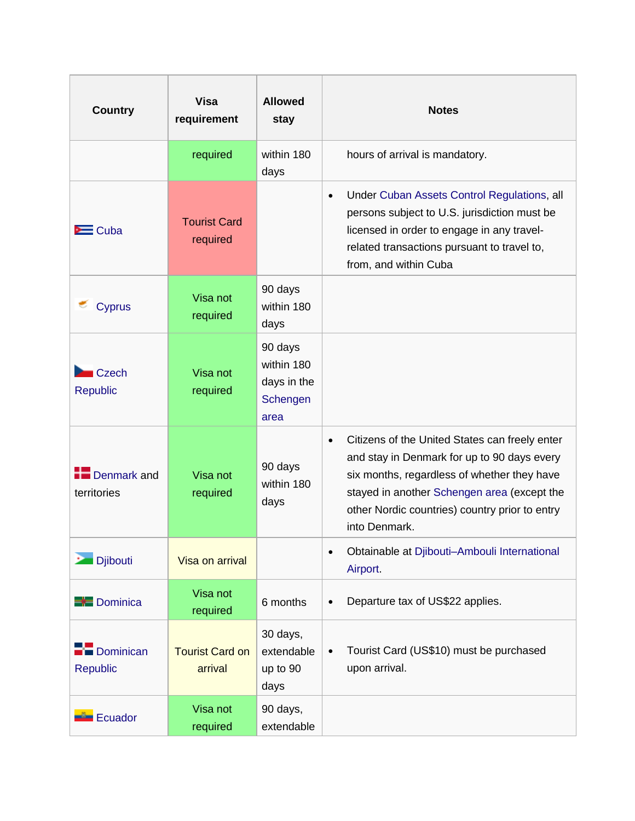| <b>Country</b>                  | <b>Visa</b><br>requirement        | <b>Allowed</b><br>stay                                   | <b>Notes</b>                                                                                                                                                                                                                                                                |
|---------------------------------|-----------------------------------|----------------------------------------------------------|-----------------------------------------------------------------------------------------------------------------------------------------------------------------------------------------------------------------------------------------------------------------------------|
|                                 | required                          | within 180<br>days                                       | hours of arrival is mandatory.                                                                                                                                                                                                                                              |
| $\equiv$ Cuba                   | <b>Tourist Card</b><br>required   |                                                          | Under Cuban Assets Control Regulations, all<br>$\bullet$<br>persons subject to U.S. jurisdiction must be<br>licensed in order to engage in any travel-<br>related transactions pursuant to travel to,<br>from, and within Cuba                                              |
| <b>Cyprus</b>                   | Visa not<br>required              | 90 days<br>within 180<br>days                            |                                                                                                                                                                                                                                                                             |
| <b>Czech</b><br><b>Republic</b> | Visa not<br>required              | 90 days<br>within 180<br>days in the<br>Schengen<br>area |                                                                                                                                                                                                                                                                             |
| Denmark and<br>territories      | Visa not<br>required              | 90 days<br>within 180<br>days                            | Citizens of the United States can freely enter<br>$\bullet$<br>and stay in Denmark for up to 90 days every<br>six months, regardless of whether they have<br>stayed in another Schengen area (except the<br>other Nordic countries) country prior to entry<br>into Denmark. |
| <b>Djibouti</b>                 | Visa on arrival                   |                                                          | Obtainable at Djibouti-Ambouli International<br>$\bullet$<br>Airport                                                                                                                                                                                                        |
| <b>B</b> Dominica               | Visa not<br>required              | 6 months                                                 | Departure tax of US\$22 applies.<br>$\bullet$                                                                                                                                                                                                                               |
| Dominican<br><b>Republic</b>    | <b>Tourist Card on</b><br>arrival | 30 days,<br>extendable<br>up to 90<br>days               | Tourist Card (US\$10) must be purchased<br>$\bullet$<br>upon arrival.                                                                                                                                                                                                       |
| Ecuador                         | Visa not<br>required              | 90 days,<br>extendable                                   |                                                                                                                                                                                                                                                                             |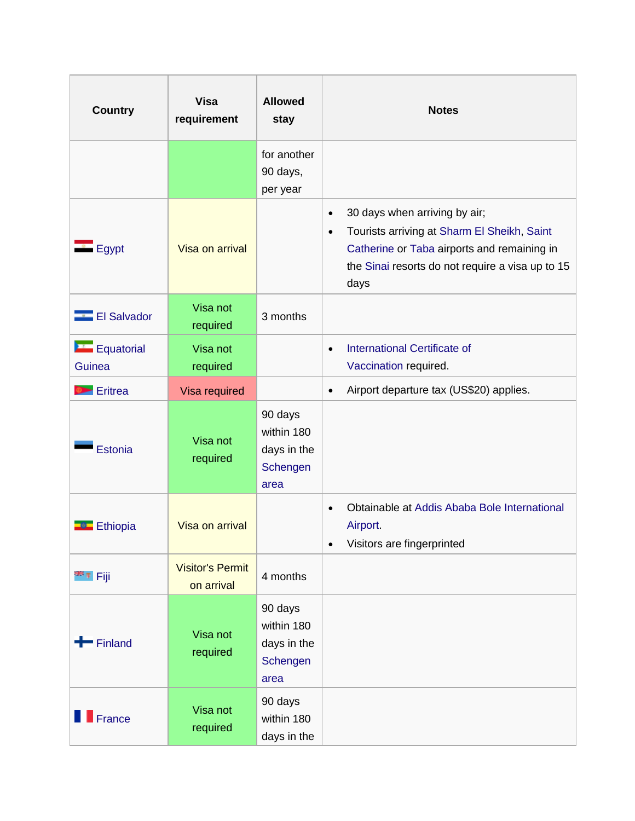| <b>Country</b>              | <b>Visa</b><br>requirement            | <b>Allowed</b><br>stay                                   | <b>Notes</b>                                                                                                                                                                                                      |
|-----------------------------|---------------------------------------|----------------------------------------------------------|-------------------------------------------------------------------------------------------------------------------------------------------------------------------------------------------------------------------|
|                             |                                       | for another<br>90 days,<br>per year                      |                                                                                                                                                                                                                   |
| $\equiv$ Egypt              | Visa on arrival                       |                                                          | 30 days when arriving by air;<br>$\bullet$<br>Tourists arriving at Sharm El Sheikh, Saint<br>$\bullet$<br>Catherine or Taba airports and remaining in<br>the Sinai resorts do not require a visa up to 15<br>days |
| <b>El Salvador</b>          | Visa not<br>required                  | 3 months                                                 |                                                                                                                                                                                                                   |
| <b>Equatorial</b><br>Guinea | Visa not<br>required                  |                                                          | <b>International Certificate of</b><br>$\bullet$<br>Vaccination required.                                                                                                                                         |
| <b>Eritrea</b>              | Visa required                         |                                                          | Airport departure tax (US\$20) applies.<br>$\bullet$                                                                                                                                                              |
| Estonia                     | Visa not<br>required                  | 90 days<br>within 180<br>days in the<br>Schengen<br>area |                                                                                                                                                                                                                   |
| <b>Ethiopia</b>             | Visa on arrival                       |                                                          | Obtainable at Addis Ababa Bole International<br>$\bullet$<br>Airport.<br>Visitors are fingerprinted<br>$\bullet$                                                                                                  |
| <sup>es</sup> ≢ Fiji        | <b>Visitor's Permit</b><br>on arrival | 4 months                                                 |                                                                                                                                                                                                                   |
| $\blacksquare$ Finland      | Visa not<br>required                  | 90 days<br>within 180<br>days in the<br>Schengen<br>area |                                                                                                                                                                                                                   |
| $\blacksquare$ France       | Visa not<br>required                  | 90 days<br>within 180<br>days in the                     |                                                                                                                                                                                                                   |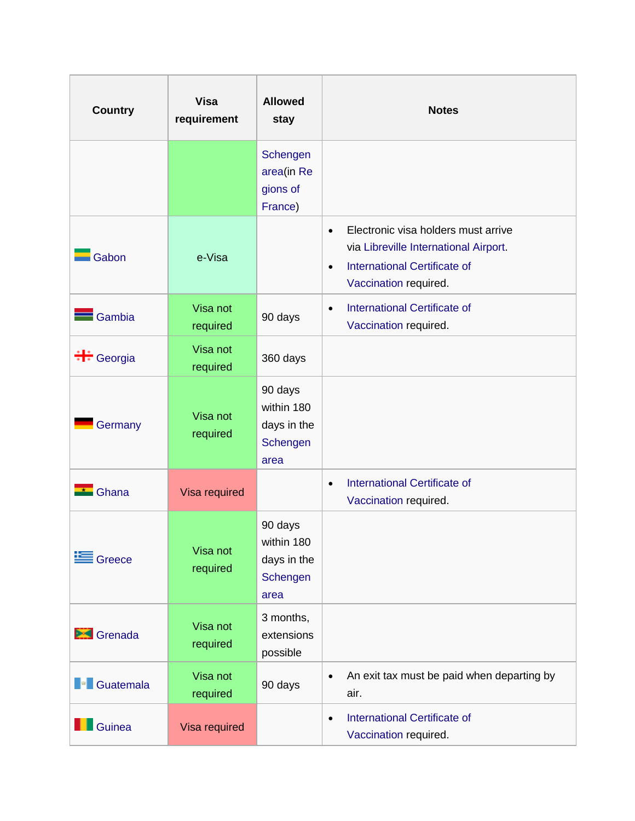| <b>Country</b>     | <b>Visa</b><br>requirement | <b>Allowed</b><br>stay                                   | <b>Notes</b>                                                                                                                                                           |
|--------------------|----------------------------|----------------------------------------------------------|------------------------------------------------------------------------------------------------------------------------------------------------------------------------|
|                    |                            | Schengen<br>area(in Re<br>gions of<br>France)            |                                                                                                                                                                        |
| Gabon              | e-Visa                     |                                                          | Electronic visa holders must arrive<br>$\bullet$<br>via Libreville International Airport.<br><b>International Certificate of</b><br>$\bullet$<br>Vaccination required. |
| Gambia             | Visa not<br>required       | 90 days                                                  | <b>International Certificate of</b><br>$\bullet$<br>Vaccination required.                                                                                              |
|                    | Visa not<br>required       | 360 days                                                 |                                                                                                                                                                        |
| Germany            | Visa not<br>required       | 90 days<br>within 180<br>days in the<br>Schengen<br>area |                                                                                                                                                                        |
| Ghana              | Visa required              |                                                          | <b>International Certificate of</b><br>$\bullet$<br>Vaccination required.                                                                                              |
| Greece             | Visa not<br>required       | 90 days<br>within 180<br>days in the<br>Schengen<br>area |                                                                                                                                                                        |
| Srenada            | Visa not<br>required       | 3 months,<br>extensions<br>possible                      |                                                                                                                                                                        |
| <b>F</b> Guatemala | Visa not<br>required       | 90 days                                                  | An exit tax must be paid when departing by<br>$\bullet$<br>air.                                                                                                        |
| Guinea             | Visa required              |                                                          | <b>International Certificate of</b><br>$\bullet$<br>Vaccination required.                                                                                              |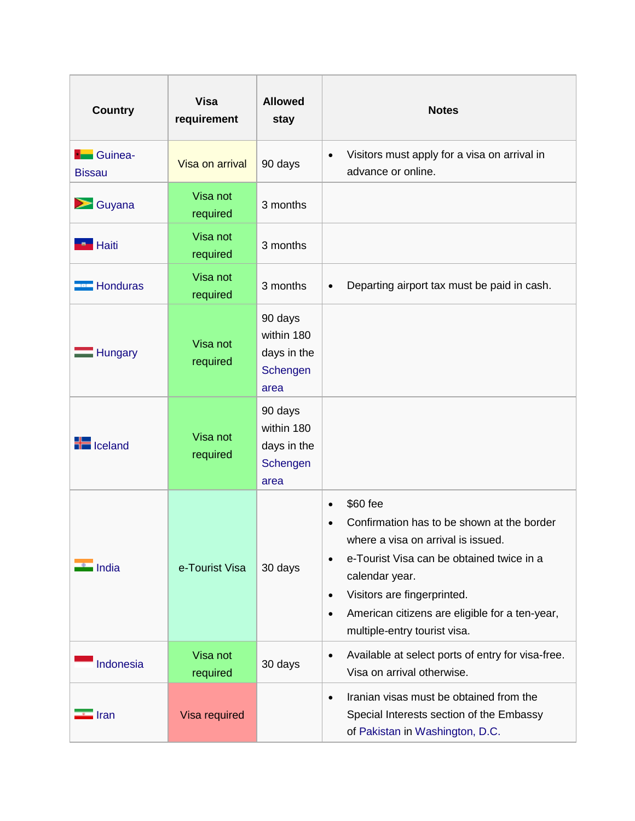| <b>Country</b>                    | <b>Visa</b><br>requirement | <b>Allowed</b><br>stay                                   | <b>Notes</b>                                                                                                                                                                                                                                                                                                                     |
|-----------------------------------|----------------------------|----------------------------------------------------------|----------------------------------------------------------------------------------------------------------------------------------------------------------------------------------------------------------------------------------------------------------------------------------------------------------------------------------|
| <b>H</b> Guinea-<br><b>Bissau</b> | Visa on arrival            | 90 days                                                  | Visitors must apply for a visa on arrival in<br>$\bullet$<br>advance or online.                                                                                                                                                                                                                                                  |
| $\blacktriangleright$ Guyana      | Visa not<br>required       | 3 months                                                 |                                                                                                                                                                                                                                                                                                                                  |
| <b>Haiti</b> Haiti                | Visa not<br>required       | 3 months                                                 |                                                                                                                                                                                                                                                                                                                                  |
| <b>Honduras</b>                   | Visa not<br>required       | 3 months                                                 | Departing airport tax must be paid in cash.<br>$\bullet$                                                                                                                                                                                                                                                                         |
| <b>Hungary</b>                    | Visa not<br>required       | 90 days<br>within 180<br>days in the<br>Schengen<br>area |                                                                                                                                                                                                                                                                                                                                  |
| $\equiv$ Iceland                  | Visa not<br>required       | 90 days<br>within 180<br>days in the<br>Schengen<br>area |                                                                                                                                                                                                                                                                                                                                  |
| i India                           | e-Tourist Visa             | 30 days                                                  | \$60 fee<br>$\bullet$<br>Confirmation has to be shown at the border<br>where a visa on arrival is issued.<br>e-Tourist Visa can be obtained twice in a<br>$\bullet$<br>calendar year.<br>Visitors are fingerprinted.<br>$\bullet$<br>American citizens are eligible for a ten-year,<br>$\bullet$<br>multiple-entry tourist visa. |
| Indonesia                         | Visa not<br>required       | 30 days                                                  | Available at select ports of entry for visa-free.<br>$\bullet$<br>Visa on arrival otherwise.                                                                                                                                                                                                                                     |
| $\blacksquare$ Iran               | Visa required              |                                                          | Iranian visas must be obtained from the<br>$\bullet$<br>Special Interests section of the Embassy<br>of Pakistan in Washington, D.C.                                                                                                                                                                                              |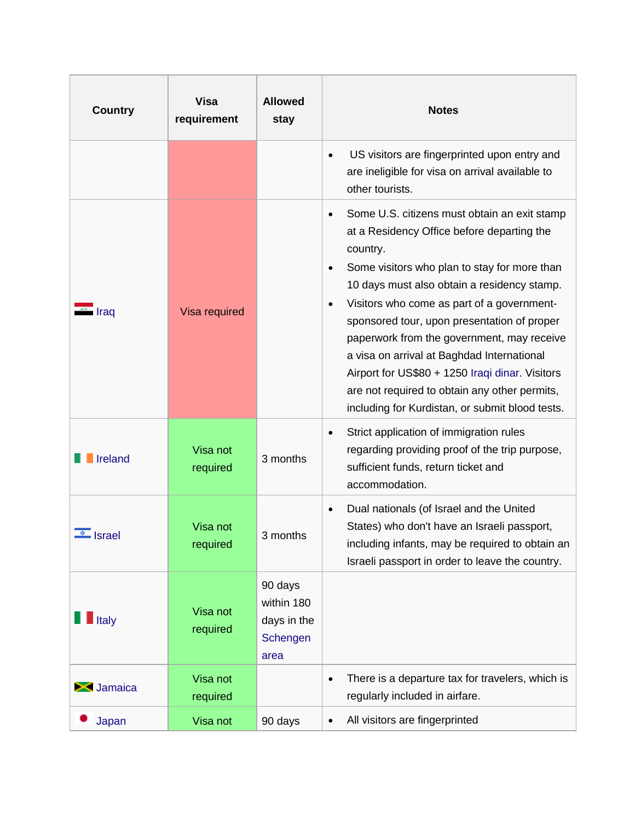| <b>Country</b>                | <b>Visa</b><br>requirement | <b>Allowed</b><br>stay                                   | <b>Notes</b>                                                                                                                                                                                                                                                                                                                                                                                                                                                                                                                                                                                 |
|-------------------------------|----------------------------|----------------------------------------------------------|----------------------------------------------------------------------------------------------------------------------------------------------------------------------------------------------------------------------------------------------------------------------------------------------------------------------------------------------------------------------------------------------------------------------------------------------------------------------------------------------------------------------------------------------------------------------------------------------|
|                               |                            |                                                          | US visitors are fingerprinted upon entry and<br>$\bullet$<br>are ineligible for visa on arrival available to<br>other tourists.                                                                                                                                                                                                                                                                                                                                                                                                                                                              |
| i Iraq                        | Visa required              |                                                          | Some U.S. citizens must obtain an exit stamp<br>$\bullet$<br>at a Residency Office before departing the<br>country.<br>Some visitors who plan to stay for more than<br>$\bullet$<br>10 days must also obtain a residency stamp.<br>Visitors who come as part of a government-<br>$\bullet$<br>sponsored tour, upon presentation of proper<br>paperwork from the government, may receive<br>a visa on arrival at Baghdad International<br>Airport for US\$80 + 1250 Iraqi dinar. Visitors<br>are not required to obtain any other permits,<br>including for Kurdistan, or submit blood tests. |
| Ireland                       | Visa not<br>required       | 3 months                                                 | Strict application of immigration rules<br>$\bullet$<br>regarding providing proof of the trip purpose,<br>sufficient funds, return ticket and<br>accommodation.                                                                                                                                                                                                                                                                                                                                                                                                                              |
| $\sqrt{\frac{6}{5}}$ Israel   | Visa not<br>required       | 3 months                                                 | Dual nationals (of Israel and the United<br>$\bullet$<br>States) who don't have an Israeli passport,<br>including infants, may be required to obtain an<br>Israeli passport in order to leave the country.                                                                                                                                                                                                                                                                                                                                                                                   |
| $\blacksquare$ Italy          | Visa not<br>required       | 90 days<br>within 180<br>days in the<br>Schengen<br>area |                                                                                                                                                                                                                                                                                                                                                                                                                                                                                                                                                                                              |
| $\blacktriangleright$ Jamaica | Visa not<br>required       |                                                          | There is a departure tax for travelers, which is<br>$\bullet$<br>regularly included in airfare.                                                                                                                                                                                                                                                                                                                                                                                                                                                                                              |
| Japan                         | Visa not                   | 90 days                                                  | All visitors are fingerprinted<br>$\bullet$                                                                                                                                                                                                                                                                                                                                                                                                                                                                                                                                                  |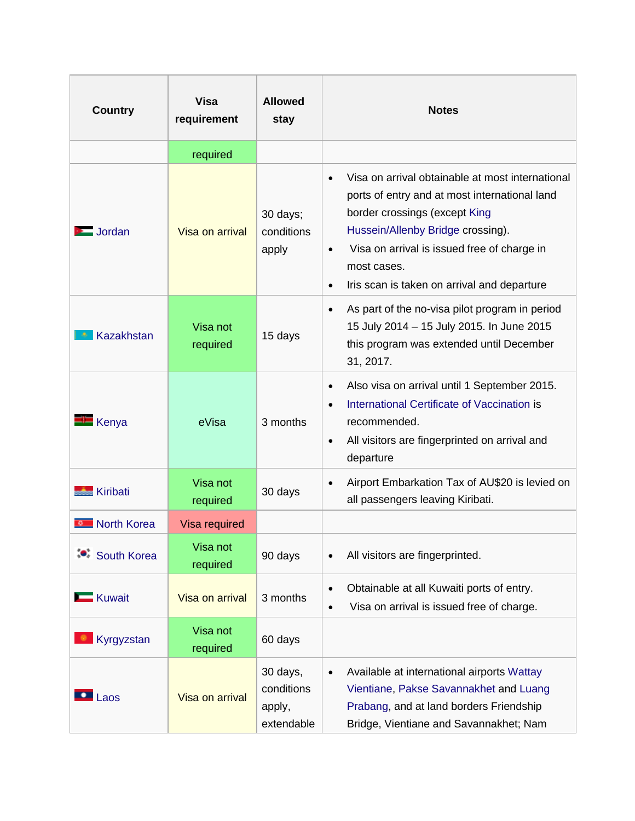| <b>Country</b>       | <b>Visa</b><br>requirement | <b>Allowed</b><br>stay                         | <b>Notes</b>                                                                                                                                                                                                                                                                                                                |
|----------------------|----------------------------|------------------------------------------------|-----------------------------------------------------------------------------------------------------------------------------------------------------------------------------------------------------------------------------------------------------------------------------------------------------------------------------|
|                      | required                   |                                                |                                                                                                                                                                                                                                                                                                                             |
| Jordan               | Visa on arrival            | 30 days;<br>conditions<br>apply                | Visa on arrival obtainable at most international<br>$\bullet$<br>ports of entry and at most international land<br>border crossings (except King<br>Hussein/Allenby Bridge crossing).<br>Visa on arrival is issued free of charge in<br>$\bullet$<br>most cases.<br>Iris scan is taken on arrival and departure<br>$\bullet$ |
| Kazakhstan           | Visa not<br>required       | 15 days                                        | As part of the no-visa pilot program in period<br>$\bullet$<br>15 July 2014 - 15 July 2015. In June 2015<br>this program was extended until December<br>31, 2017.                                                                                                                                                           |
| $\blacksquare$ Kenya | eVisa                      | 3 months                                       | Also visa on arrival until 1 September 2015.<br>$\bullet$<br>International Certificate of Vaccination is<br>$\bullet$<br>recommended.<br>All visitors are fingerprinted on arrival and<br>$\bullet$<br>departure                                                                                                            |
| <b>Kiribati</b>      | Visa not<br>required       | 30 days                                        | Airport Embarkation Tax of AU\$20 is levied on<br>$\bullet$<br>all passengers leaving Kiribati.                                                                                                                                                                                                                             |
| North Korea          | Visa required              |                                                |                                                                                                                                                                                                                                                                                                                             |
| <b>South Korea</b>   | Visa not<br>required       | 90 days                                        | All visitors are fingerprinted.<br>$\bullet$                                                                                                                                                                                                                                                                                |
| <b>Kuwait</b>        | Visa on arrival            | 3 months                                       | Obtainable at all Kuwaiti ports of entry.<br>$\bullet$<br>Visa on arrival is issued free of charge.<br>$\bullet$                                                                                                                                                                                                            |
| Kyrgyzstan           | Visa not<br>required       | 60 days                                        |                                                                                                                                                                                                                                                                                                                             |
| Laos                 | Visa on arrival            | 30 days,<br>conditions<br>apply,<br>extendable | Available at international airports Wattay<br>$\bullet$<br>Vientiane, Pakse Savannakhet and Luang<br>Prabang, and at land borders Friendship<br>Bridge, Vientiane and Savannakhet; Nam                                                                                                                                      |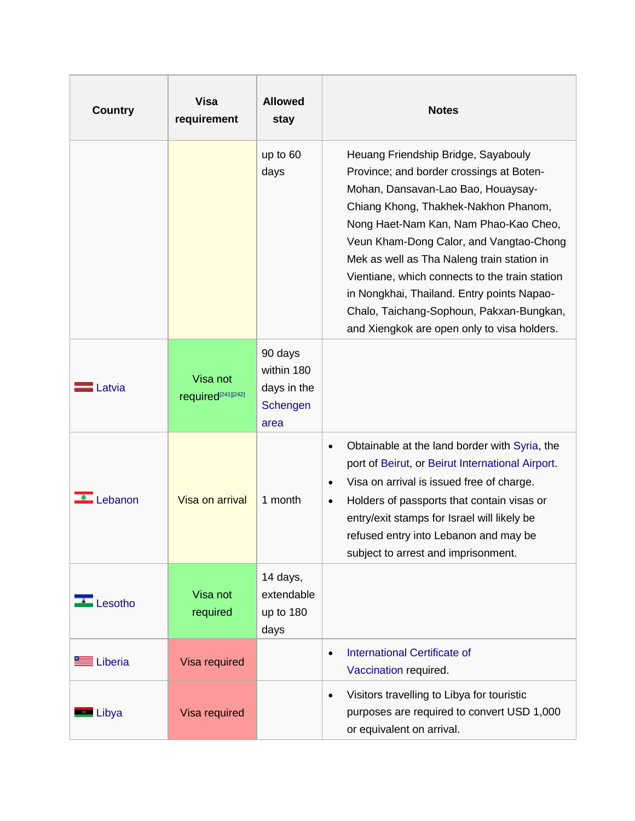| <b>Country</b>                   | <b>Visa</b><br>requirement                 | <b>Allowed</b><br>stay                                   | <b>Notes</b>                                                                                                                                                                                                                                                                                                                                                                                                                                                                               |
|----------------------------------|--------------------------------------------|----------------------------------------------------------|--------------------------------------------------------------------------------------------------------------------------------------------------------------------------------------------------------------------------------------------------------------------------------------------------------------------------------------------------------------------------------------------------------------------------------------------------------------------------------------------|
|                                  |                                            | up to 60<br>days                                         | Heuang Friendship Bridge, Sayabouly<br>Province; and border crossings at Boten-<br>Mohan, Dansavan-Lao Bao, Houaysay-<br>Chiang Khong, Thakhek-Nakhon Phanom,<br>Nong Haet-Nam Kan, Nam Phao-Kao Cheo,<br>Veun Kham-Dong Calor, and Vangtao-Chong<br>Mek as well as Tha Naleng train station in<br>Vientiane, which connects to the train station<br>in Nongkhai, Thailand. Entry points Napao-<br>Chalo, Taichang-Sophoun, Pakxan-Bungkan,<br>and Xiengkok are open only to visa holders. |
| <b>Latvia</b>                    | Visa not<br>required <sup>[241][242]</sup> | 90 days<br>within 180<br>days in the<br>Schengen<br>area |                                                                                                                                                                                                                                                                                                                                                                                                                                                                                            |
| $\triangle$ Lebanon              | Visa on arrival                            | 1 month                                                  | Obtainable at the land border with Syria, the<br>$\bullet$<br>port of Beirut, or Beirut International Airport.<br>Visa on arrival is issued free of charge.<br>$\bullet$<br>Holders of passports that contain visas or<br>$\bullet$<br>entry/exit stamps for Israel will likely be<br>refused entry into Lebanon and may be<br>subject to arrest and imprisonment.                                                                                                                         |
| $\overline{\phantom{a}}$ Lesotho | Visa not<br>required                       | 14 days,<br>extendable<br>up to 180<br>days              |                                                                                                                                                                                                                                                                                                                                                                                                                                                                                            |
| Liberia                          | Visa required                              |                                                          | <b>International Certificate of</b><br>$\bullet$<br>Vaccination required.                                                                                                                                                                                                                                                                                                                                                                                                                  |
| <b>Exercise</b> Libya            | Visa required                              |                                                          | Visitors travelling to Libya for touristic<br>$\bullet$<br>purposes are required to convert USD 1,000<br>or equivalent on arrival.                                                                                                                                                                                                                                                                                                                                                         |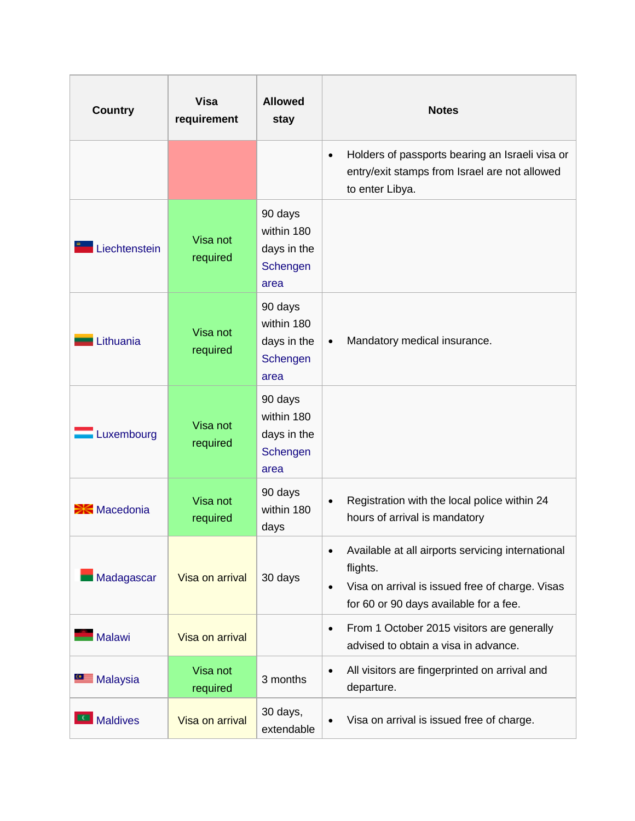| <b>Country</b>           | <b>Visa</b><br>requirement | <b>Allowed</b><br>stay                                   | <b>Notes</b>                                                                                                                                                                         |
|--------------------------|----------------------------|----------------------------------------------------------|--------------------------------------------------------------------------------------------------------------------------------------------------------------------------------------|
|                          |                            |                                                          | Holders of passports bearing an Israeli visa or<br>$\bullet$<br>entry/exit stamps from Israel are not allowed<br>to enter Libya.                                                     |
| Liechtenstein            | Visa not<br>required       | 90 days<br>within 180<br>days in the<br>Schengen<br>area |                                                                                                                                                                                      |
| Lithuania                | Visa not<br>required       | 90 days<br>within 180<br>days in the<br>Schengen<br>area | Mandatory medical insurance.<br>$\bullet$                                                                                                                                            |
| Luxembourg               | Visa not<br>required       | 90 days<br>within 180<br>days in the<br>Schengen<br>area |                                                                                                                                                                                      |
| $\blacksquare$ Macedonia | Visa not<br>required       | 90 days<br>within 180<br>days                            | Registration with the local police within 24<br>$\bullet$<br>hours of arrival is mandatory                                                                                           |
| Madagascar               | Visa on arrival            | 30 days                                                  | Available at all airports servicing international<br>$\bullet$<br>flights.<br>Visa on arrival is issued free of charge. Visas<br>$\bullet$<br>for 60 or 90 days available for a fee. |
| Malawi                   | Visa on arrival            |                                                          | From 1 October 2015 visitors are generally<br>$\bullet$<br>advised to obtain a visa in advance.                                                                                      |
| <b>Malaysia</b>          | Visa not<br>required       | 3 months                                                 | All visitors are fingerprinted on arrival and<br>$\bullet$<br>departure.                                                                                                             |
| <b>Maldives</b>          | Visa on arrival            | 30 days,<br>extendable                                   | Visa on arrival is issued free of charge.<br>$\bullet$                                                                                                                               |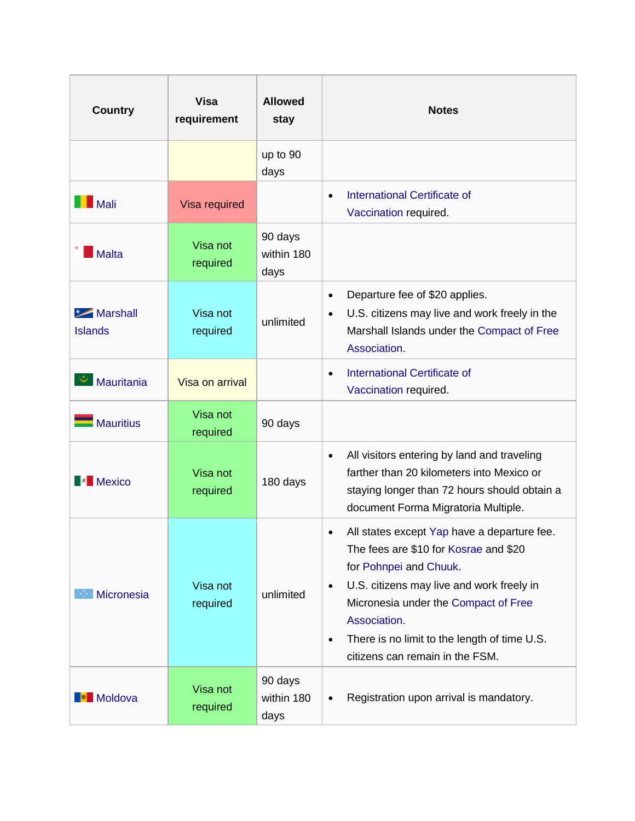| <b>Country</b>                                   | <b>Visa</b><br>requirement | <b>Allowed</b><br>stay        | <b>Notes</b>                                                                                                                                                                                                                                                                                                                                  |
|--------------------------------------------------|----------------------------|-------------------------------|-----------------------------------------------------------------------------------------------------------------------------------------------------------------------------------------------------------------------------------------------------------------------------------------------------------------------------------------------|
|                                                  |                            | up to 90<br>days              |                                                                                                                                                                                                                                                                                                                                               |
| $\blacksquare$ Mali                              | Visa required              |                               | International Certificate of<br>$\bullet$<br>Vaccination required.                                                                                                                                                                                                                                                                            |
| Malta                                            | Visa not<br>required       | 90 days<br>within 180<br>days |                                                                                                                                                                                                                                                                                                                                               |
| $\blacktriangleright$ Marshall<br><b>Islands</b> | Visa not<br>required       | unlimited                     | Departure fee of \$20 applies.<br>$\bullet$<br>U.S. citizens may live and work freely in the<br>$\bullet$<br>Marshall Islands under the Compact of Free<br>Association                                                                                                                                                                        |
| Mauritania                                       | Visa on arrival            |                               | International Certificate of<br>$\bullet$<br>Vaccination required.                                                                                                                                                                                                                                                                            |
| Mauritius                                        | Visa not<br>required       | 90 days                       |                                                                                                                                                                                                                                                                                                                                               |
| <b>Mexico</b>                                    | Visa not<br>required       | 180 days                      | All visitors entering by land and traveling<br>$\bullet$<br>farther than 20 kilometers into Mexico or<br>staying longer than 72 hours should obtain a<br>document Forma Migratoria Multiple.                                                                                                                                                  |
| Micronesia                                       | Visa not<br>required       | unlimited                     | All states except Yap have a departure fee.<br>$\bullet$<br>The fees are \$10 for Kosrae and \$20<br>for Pohnpei and Chuuk.<br>U.S. citizens may live and work freely in<br>$\bullet$<br>Micronesia under the Compact of Free<br>Association.<br>There is no limit to the length of time U.S.<br>$\bullet$<br>citizens can remain in the FSM. |
| Moldova                                          | Visa not<br>required       | 90 days<br>within 180<br>days | Registration upon arrival is mandatory.                                                                                                                                                                                                                                                                                                       |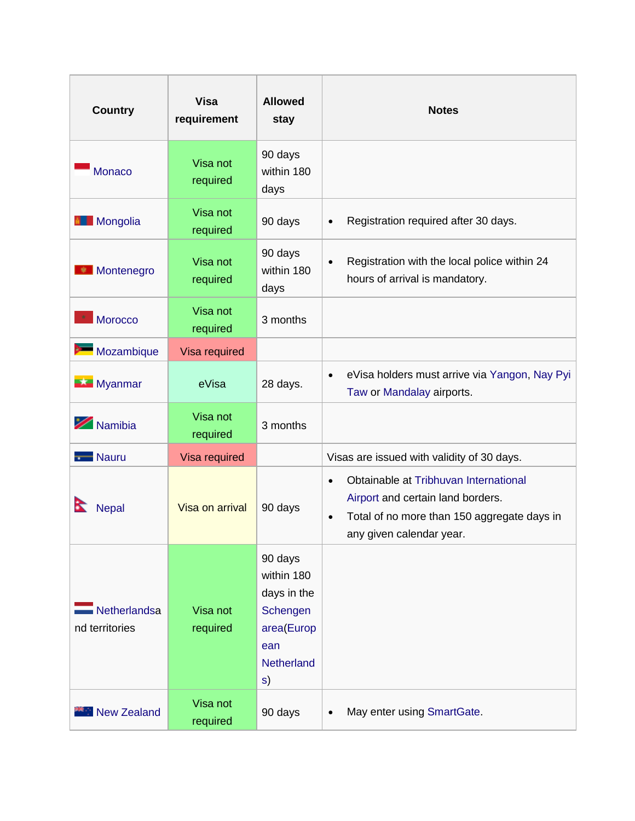| <b>Country</b>                 | <b>Visa</b><br>requirement | <b>Allowed</b><br>stay                                                                           | <b>Notes</b>                                                                                                                                                                    |
|--------------------------------|----------------------------|--------------------------------------------------------------------------------------------------|---------------------------------------------------------------------------------------------------------------------------------------------------------------------------------|
| <b>Monaco</b>                  | Visa not<br>required       | 90 days<br>within 180<br>days                                                                    |                                                                                                                                                                                 |
| <b>E</b> Mongolia              | Visa not<br>required       | 90 days                                                                                          | Registration required after 30 days.<br>$\bullet$                                                                                                                               |
| <b>Montenegro</b>              | Visa not<br>required       | 90 days<br>within 180<br>days                                                                    | Registration with the local police within 24<br>$\bullet$<br>hours of arrival is mandatory.                                                                                     |
| Morocco                        | Visa not<br>required       | 3 months                                                                                         |                                                                                                                                                                                 |
| Mozambique                     | Visa required              |                                                                                                  |                                                                                                                                                                                 |
| <b>Myanmar</b>                 | eVisa                      | 28 days.                                                                                         | eVisa holders must arrive via Yangon, Nay Pyi<br>$\bullet$<br>Taw or Mandalay airports.                                                                                         |
| Namibia                        | Visa not<br>required       | 3 months                                                                                         |                                                                                                                                                                                 |
| <b>Nauru</b>                   | Visa required              |                                                                                                  | Visas are issued with validity of 30 days.                                                                                                                                      |
| <b>Nepal</b>                   | Visa on arrival            | 90 days                                                                                          | Obtainable at Tribhuvan International<br>$\bullet$<br>Airport and certain land borders.<br>Total of no more than 150 aggregate days in<br>$\bullet$<br>any given calendar year. |
| Netherlandsa<br>nd territories | Visa not<br>required       | 90 days<br>within 180<br>days in the<br>Schengen<br>area(Europ<br>ean<br><b>Netherland</b><br>s) |                                                                                                                                                                                 |
| <b>New Zealand</b>             | Visa not<br>required       | 90 days                                                                                          | May enter using SmartGate.<br>$\bullet$                                                                                                                                         |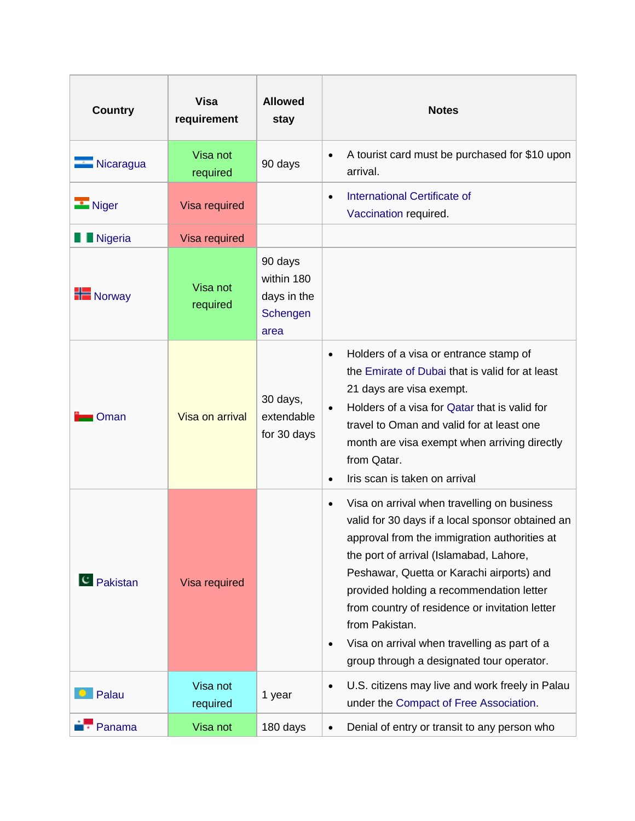| <b>Country</b>        | <b>Visa</b><br>requirement | <b>Allowed</b><br>stay                                   | <b>Notes</b>                                                                                                                                                                                                                                                                                                                                                                                                                                                                   |
|-----------------------|----------------------------|----------------------------------------------------------|--------------------------------------------------------------------------------------------------------------------------------------------------------------------------------------------------------------------------------------------------------------------------------------------------------------------------------------------------------------------------------------------------------------------------------------------------------------------------------|
| Nicaragua             | Visa not<br>required       | 90 days                                                  | A tourist card must be purchased for \$10 upon<br>$\bullet$<br>arrival.                                                                                                                                                                                                                                                                                                                                                                                                        |
| $\blacksquare$ Niger  | Visa required              |                                                          | <b>International Certificate of</b><br>$\bullet$<br>Vaccination required.                                                                                                                                                                                                                                                                                                                                                                                                      |
| <b>Nigeria</b>        | Visa required              |                                                          |                                                                                                                                                                                                                                                                                                                                                                                                                                                                                |
| $\blacksquare$ Norway | Visa not<br>required       | 90 days<br>within 180<br>days in the<br>Schengen<br>area |                                                                                                                                                                                                                                                                                                                                                                                                                                                                                |
| Oman                  | Visa on arrival            | 30 days,<br>extendable<br>for 30 days                    | Holders of a visa or entrance stamp of<br>$\bullet$<br>the Emirate of Dubai that is valid for at least<br>21 days are visa exempt.<br>Holders of a visa for Qatar that is valid for<br>$\bullet$<br>travel to Oman and valid for at least one<br>month are visa exempt when arriving directly<br>from Qatar.<br>Iris scan is taken on arrival<br>$\bullet$                                                                                                                     |
| <sup>C</sup> Pakistan | Visa required              |                                                          | Visa on arrival when travelling on business<br>$\bullet$<br>valid for 30 days if a local sponsor obtained an<br>approval from the immigration authorities at<br>the port of arrival (Islamabad, Lahore,<br>Peshawar, Quetta or Karachi airports) and<br>provided holding a recommendation letter<br>from country of residence or invitation letter<br>from Pakistan.<br>Visa on arrival when travelling as part of a<br>$\bullet$<br>group through a designated tour operator. |
| Palau                 | Visa not<br>required       | 1 year                                                   | U.S. citizens may live and work freely in Palau<br>$\bullet$<br>under the Compact of Free Association.                                                                                                                                                                                                                                                                                                                                                                         |
| Panama                | Visa not                   | 180 days                                                 | Denial of entry or transit to any person who<br>$\bullet$                                                                                                                                                                                                                                                                                                                                                                                                                      |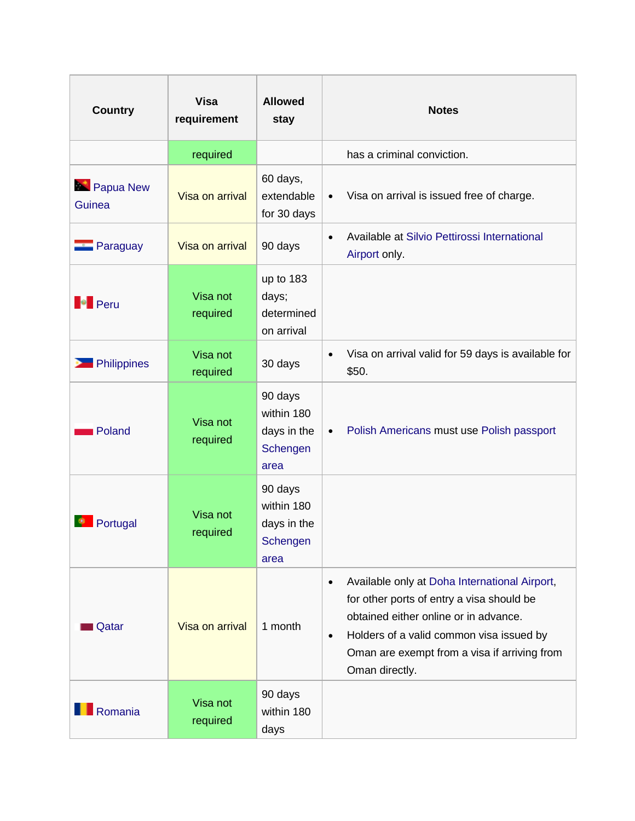| <b>Country</b>        | <b>Visa</b><br>requirement | <b>Allowed</b><br>stay                                   | <b>Notes</b>                                                                                                                                                                                                                                                                |
|-----------------------|----------------------------|----------------------------------------------------------|-----------------------------------------------------------------------------------------------------------------------------------------------------------------------------------------------------------------------------------------------------------------------------|
|                       | required                   |                                                          | has a criminal conviction.                                                                                                                                                                                                                                                  |
| Papua New<br>Guinea   | Visa on arrival            | 60 days,<br>extendable<br>for 30 days                    | Visa on arrival is issued free of charge.<br>$\bullet$                                                                                                                                                                                                                      |
| <b>Paraguay</b>       | Visa on arrival            | 90 days                                                  | Available at Silvio Pettirossi International<br>$\bullet$<br>Airport only.                                                                                                                                                                                                  |
| <b>Peru</b>           | Visa not<br>required       | up to 183<br>days;<br>determined<br>on arrival           |                                                                                                                                                                                                                                                                             |
| <b>De</b> Philippines | Visa not<br>required       | 30 days                                                  | Visa on arrival valid for 59 days is available for<br>$\bullet$<br>\$50.                                                                                                                                                                                                    |
| Poland                | Visa not<br>required       | 90 days<br>within 180<br>days in the<br>Schengen<br>area | Polish Americans must use Polish passport<br>$\bullet$                                                                                                                                                                                                                      |
| Portugal              | Visa not<br>required       | 90 days<br>within 180<br>days in the<br>Schengen<br>area |                                                                                                                                                                                                                                                                             |
| Qatar                 | Visa on arrival            | 1 month                                                  | Available only at Doha International Airport,<br>$\bullet$<br>for other ports of entry a visa should be<br>obtained either online or in advance.<br>Holders of a valid common visa issued by<br>$\bullet$<br>Oman are exempt from a visa if arriving from<br>Oman directly. |
| Romania               | Visa not<br>required       | 90 days<br>within 180<br>days                            |                                                                                                                                                                                                                                                                             |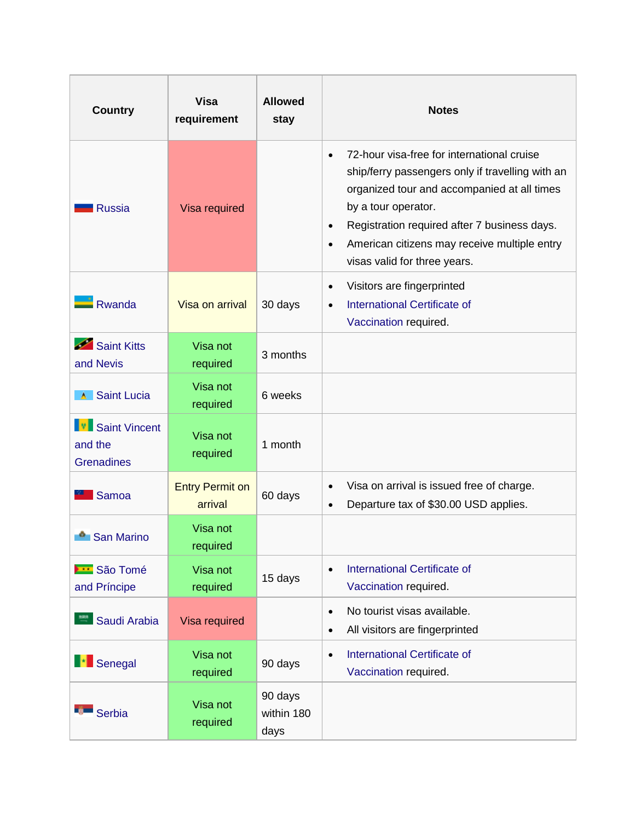| <b>Country</b>                                         | <b>Visa</b><br>requirement        | <b>Allowed</b><br>stay        | <b>Notes</b>                                                                                                                                                                                                                                                                                                                                |
|--------------------------------------------------------|-----------------------------------|-------------------------------|---------------------------------------------------------------------------------------------------------------------------------------------------------------------------------------------------------------------------------------------------------------------------------------------------------------------------------------------|
| <b>Russia</b>                                          | Visa required                     |                               | 72-hour visa-free for international cruise<br>$\bullet$<br>ship/ferry passengers only if travelling with an<br>organized tour and accompanied at all times<br>by a tour operator.<br>Registration required after 7 business days.<br>$\bullet$<br>American citizens may receive multiple entry<br>$\bullet$<br>visas valid for three years. |
| <b>Rwanda</b>                                          | Visa on arrival                   | 30 days                       | Visitors are fingerprinted<br>$\bullet$<br><b>International Certificate of</b><br>$\bullet$<br>Vaccination required.                                                                                                                                                                                                                        |
| Saint Kitts<br>and Nevis                               | Visa not<br>required              | 3 months                      |                                                                                                                                                                                                                                                                                                                                             |
| Saint Lucia                                            | Visa not<br>required              | 6 weeks                       |                                                                                                                                                                                                                                                                                                                                             |
| <b>V</b> Saint Vincent<br>and the<br><b>Grenadines</b> | Visa not<br>required              | 1 month                       |                                                                                                                                                                                                                                                                                                                                             |
| Samoa                                                  | <b>Entry Permit on</b><br>arrival | 60 days                       | Visa on arrival is issued free of charge.<br>$\bullet$<br>Departure tax of \$30.00 USD applies.<br>$\bullet$                                                                                                                                                                                                                                |
| <b>San Marino</b>                                      | Visa not<br>required              |                               |                                                                                                                                                                                                                                                                                                                                             |
| <b>BE</b> São Tomé<br>and Príncipe                     | Visa not<br>required              | 15 days                       | <b>International Certificate of</b><br>$\bullet$<br>Vaccination required.                                                                                                                                                                                                                                                                   |
| Saudi Arabia                                           | Visa required                     |                               | No tourist visas available.<br>$\bullet$<br>All visitors are fingerprinted<br>$\bullet$                                                                                                                                                                                                                                                     |
| <b>Exercise</b>                                        | Visa not<br>required              | 90 days                       | International Certificate of<br>$\bullet$<br>Vaccination required.                                                                                                                                                                                                                                                                          |
| <b>Serbia</b>                                          | Visa not<br>required              | 90 days<br>within 180<br>days |                                                                                                                                                                                                                                                                                                                                             |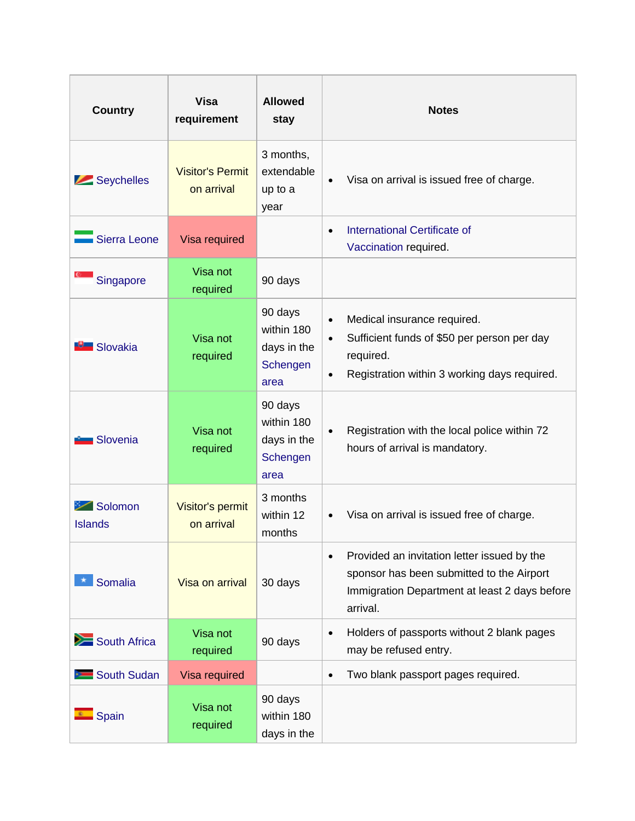| <b>Country</b>            | <b>Visa</b><br>requirement            | <b>Allowed</b><br>stay                                   | <b>Notes</b>                                                                                                                                                                   |
|---------------------------|---------------------------------------|----------------------------------------------------------|--------------------------------------------------------------------------------------------------------------------------------------------------------------------------------|
| Seychelles                | <b>Visitor's Permit</b><br>on arrival | 3 months,<br>extendable<br>up to a<br>year               | Visa on arrival is issued free of charge.<br>$\bullet$                                                                                                                         |
| Sierra Leone              | Visa required                         |                                                          | <b>International Certificate of</b><br>$\bullet$<br>Vaccination required.                                                                                                      |
| Singapore                 | Visa not<br>required                  | 90 days                                                  |                                                                                                                                                                                |
| Slovakia                  | Visa not<br>required                  | 90 days<br>within 180<br>days in the<br>Schengen<br>area | Medical insurance required.<br>$\bullet$<br>Sufficient funds of \$50 per person per day<br>$\bullet$<br>required.<br>Registration within 3 working days required.<br>$\bullet$ |
| $\blacksquare$ Slovenia   | Visa not<br>required                  | 90 days<br>within 180<br>days in the<br>Schengen<br>area | Registration with the local police within 72<br>$\bullet$<br>hours of arrival is mandatory.                                                                                    |
| Solomon<br><b>Islands</b> | Visitor's permit<br>on arrival        | 3 months<br>within 12<br>months                          | Visa on arrival is issued free of charge.<br>$\bullet$                                                                                                                         |
| Somalia                   | Visa on arrival                       | 30 days                                                  | Provided an invitation letter issued by the<br>$\bullet$<br>sponsor has been submitted to the Airport<br>Immigration Department at least 2 days before<br>arrival.             |
| South Africa              | Visa not<br>required                  | 90 days                                                  | Holders of passports without 2 blank pages<br>$\bullet$<br>may be refused entry.                                                                                               |
| South Sudan               | Visa required                         |                                                          | Two blank passport pages required.<br>$\bullet$                                                                                                                                |
| Spain                     | Visa not<br>required                  | 90 days<br>within 180<br>days in the                     |                                                                                                                                                                                |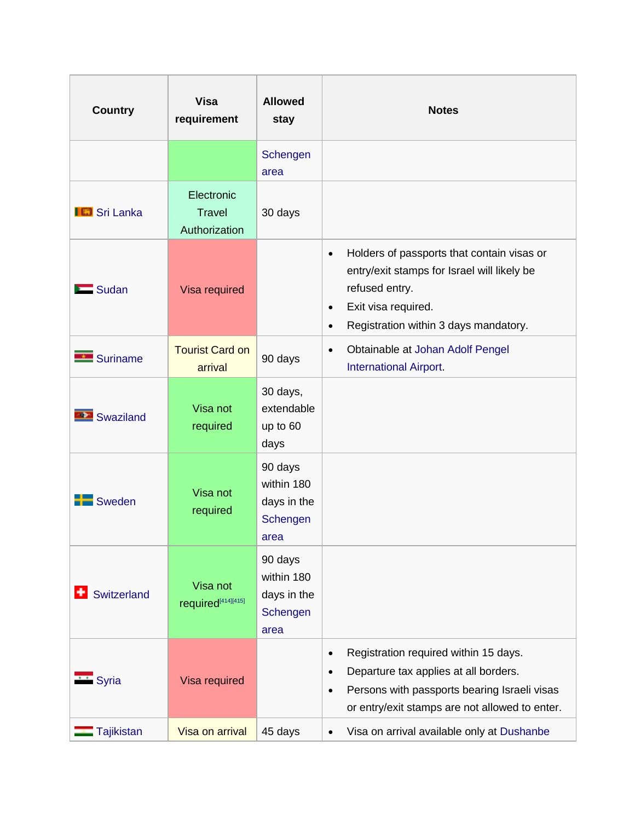| <b>Country</b>      | <b>Visa</b><br>requirement                   | <b>Allowed</b><br>stay                                   | <b>Notes</b>                                                                                                                                                                                                            |
|---------------------|----------------------------------------------|----------------------------------------------------------|-------------------------------------------------------------------------------------------------------------------------------------------------------------------------------------------------------------------------|
|                     |                                              | Schengen<br>area                                         |                                                                                                                                                                                                                         |
| <b>IG</b> Sri Lanka | Electronic<br><b>Travel</b><br>Authorization | 30 days                                                  |                                                                                                                                                                                                                         |
| $\sum$ Sudan        | Visa required                                |                                                          | Holders of passports that contain visas or<br>$\bullet$<br>entry/exit stamps for Israel will likely be<br>refused entry.<br>Exit visa required.<br>$\bullet$<br>Registration within 3 days mandatory.<br>$\bullet$      |
| Suriname            | <b>Tourist Card on</b><br>arrival            | 90 days                                                  | Obtainable at Johan Adolf Pengel<br>$\bullet$<br><b>International Airport</b> .                                                                                                                                         |
| Swaziland           | Visa not<br>required                         | 30 days,<br>extendable<br>up to 60<br>days               |                                                                                                                                                                                                                         |
| Sweden              | Visa not<br>required                         | 90 days<br>within 180<br>days in the<br>Schengen<br>area |                                                                                                                                                                                                                         |
| Switzerland         | Visa not<br>required <sup>[414][415]</sup>   | 90 days<br>within 180<br>days in the<br>Schengen<br>area |                                                                                                                                                                                                                         |
| Syria               | Visa required                                |                                                          | Registration required within 15 days.<br>$\bullet$<br>Departure tax applies at all borders.<br>$\bullet$<br>Persons with passports bearing Israeli visas<br>$\bullet$<br>or entry/exit stamps are not allowed to enter. |
| Tajikistan          | Visa on arrival                              | 45 days                                                  | Visa on arrival available only at Dushanbe<br>$\bullet$                                                                                                                                                                 |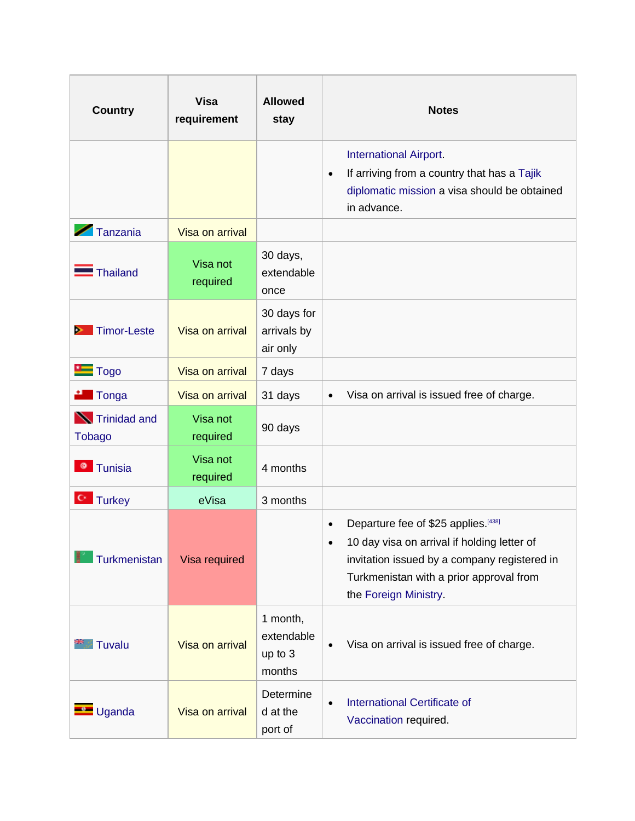| <b>Country</b>                 | <b>Visa</b><br>requirement | <b>Allowed</b><br>stay                      | <b>Notes</b>                                                                                                                                                                                                                      |
|--------------------------------|----------------------------|---------------------------------------------|-----------------------------------------------------------------------------------------------------------------------------------------------------------------------------------------------------------------------------------|
|                                |                            |                                             | <b>International Airport.</b><br>If arriving from a country that has a Tajik<br>$\bullet$<br>diplomatic mission a visa should be obtained<br>in advance.                                                                          |
| $\blacktriangleright$ Tanzania | Visa on arrival            |                                             |                                                                                                                                                                                                                                   |
| <b>Thailand</b>                | Visa not<br>required       | 30 days,<br>extendable<br>once              |                                                                                                                                                                                                                                   |
| Timor-Leste<br>。               | Visa on arrival            | 30 days for<br>arrivals by<br>air only      |                                                                                                                                                                                                                                   |
| $\blacksquare$ Togo            | Visa on arrival            | 7 days                                      |                                                                                                                                                                                                                                   |
| <b>*</b> Tonga                 | Visa on arrival            | 31 days                                     | Visa on arrival is issued free of charge.<br>$\bullet$                                                                                                                                                                            |
| Trinidad and<br><b>Tobago</b>  | Visa not<br>required       | 90 days                                     |                                                                                                                                                                                                                                   |
| <b>Tunisia</b><br>۰            | Visa not<br>required       | 4 months                                    |                                                                                                                                                                                                                                   |
| <b>C</b> Turkey                | eVisa                      | 3 months                                    |                                                                                                                                                                                                                                   |
| Turkmenistan                   | Visa required              |                                             | Departure fee of \$25 applies. [438]<br>$\bullet$<br>10 day visa on arrival if holding letter of<br>$\bullet$<br>invitation issued by a company registered in<br>Turkmenistan with a prior approval from<br>the Foreign Ministry. |
| Tuvalu                         | Visa on arrival            | 1 month,<br>extendable<br>up to 3<br>months | Visa on arrival is issued free of charge.<br>$\bullet$                                                                                                                                                                            |
| $\blacksquare$ Uganda          | Visa on arrival            | Determine<br>d at the<br>port of            | <b>International Certificate of</b><br>$\bullet$<br>Vaccination required.                                                                                                                                                         |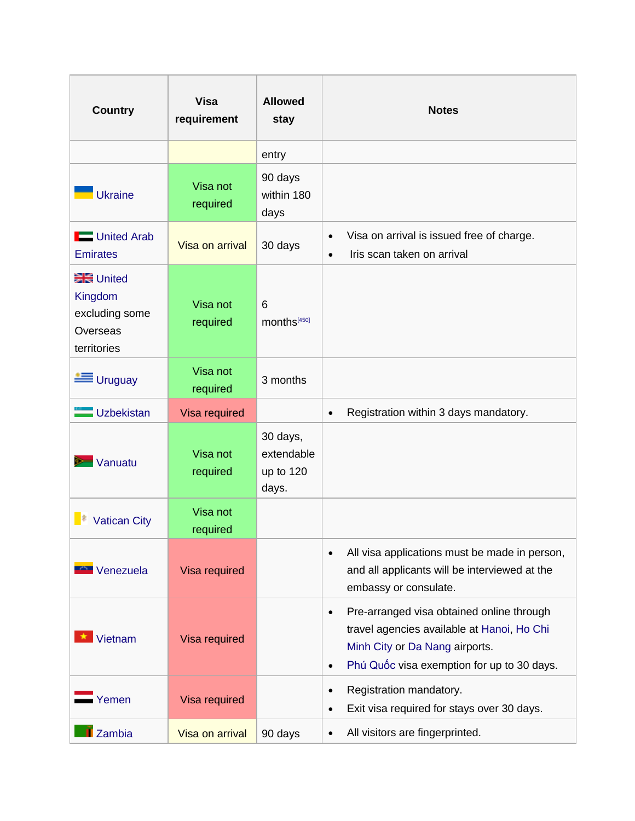| <b>Country</b>                                                            | <b>Visa</b><br>requirement | <b>Allowed</b><br>stay                       | <b>Notes</b>                                                                                                                                                                                      |
|---------------------------------------------------------------------------|----------------------------|----------------------------------------------|---------------------------------------------------------------------------------------------------------------------------------------------------------------------------------------------------|
|                                                                           |                            | entry                                        |                                                                                                                                                                                                   |
| <b>Ukraine</b>                                                            | Visa not<br>required       | 90 days<br>within 180<br>days                |                                                                                                                                                                                                   |
| United Arab<br><b>Emirates</b>                                            | Visa on arrival            | 30 days                                      | Visa on arrival is issued free of charge.<br>$\bullet$<br>Iris scan taken on arrival<br>$\bullet$                                                                                                 |
| <b>BRE</b> United<br>Kingdom<br>excluding some<br>Overseas<br>territories | Visa not<br>required       | 6<br>months <sup>[450]</sup>                 |                                                                                                                                                                                                   |
| <b>E</b> Uruguay                                                          | Visa not<br>required       | 3 months                                     |                                                                                                                                                                                                   |
| Uzbekistan                                                                | Visa required              |                                              | Registration within 3 days mandatory.<br>$\bullet$                                                                                                                                                |
| Vanuatu                                                                   | Visa not<br>required       | 30 days,<br>extendable<br>up to 120<br>days. |                                                                                                                                                                                                   |
| <b>Vatican City</b>                                                       | Visa not<br>required       |                                              |                                                                                                                                                                                                   |
| Venezuela                                                                 | Visa required              |                                              | All visa applications must be made in person,<br>$\bullet$<br>and all applicants will be interviewed at the<br>embassy or consulate.                                                              |
| Vietnam                                                                   | Visa required              |                                              | Pre-arranged visa obtained online through<br>$\bullet$<br>travel agencies available at Hanoi, Ho Chi<br>Minh City or Da Nang airports.<br>Phú Quốc visa exemption for up to 30 days.<br>$\bullet$ |
| Yemen                                                                     | Visa required              |                                              | Registration mandatory.<br>$\bullet$<br>Exit visa required for stays over 30 days.<br>$\bullet$                                                                                                   |
| <b>I</b> Zambia                                                           | Visa on arrival            | 90 days                                      | All visitors are fingerprinted.<br>$\bullet$                                                                                                                                                      |